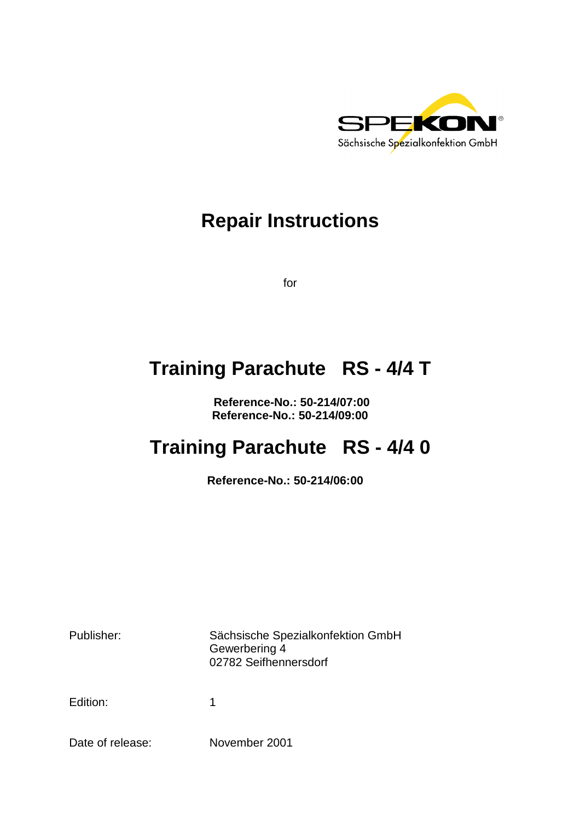

# **Repair Instructions**

for

# **Training Parachute RS - 4/4 T**

 **Reference-No.: 50-214/07:00 Reference-No.: 50-214/09:00** 

# **Training Parachute RS - 4/4 0**

**Reference-No.: 50-214/06:00** 

Publisher: Sächsische Spezialkonfektion GmbH Gewerbering 4 02782 Seifhennersdorf

Edition: 1

Date of release: November 2001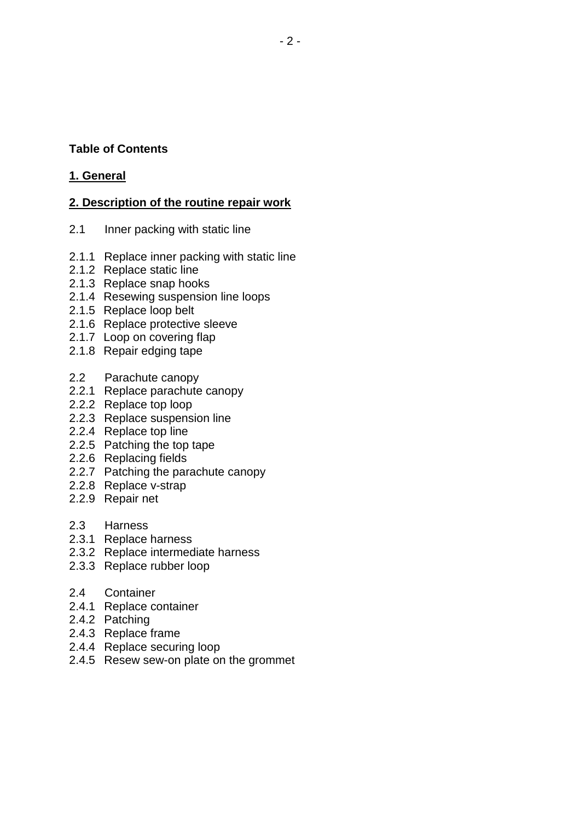# **Table of Contents**

### **1. General**

# **2. Description of the routine repair work**

- 2.1 Inner packing with static line
- 2.1.1 Replace inner packing with static line
- 2.1.2 Replace static line
- 2.1.3 Replace snap hooks
- 2.1.4 Resewing suspension line loops
- 2.1.5 Replace loop belt
- 2.1.6 Replace protective sleeve
- 2.1.7 Loop on covering flap
- 2.1.8 Repair edging tape
- 2.2 Parachute canopy
- 2.2.1 Replace parachute canopy
- 2.2.2 Replace top loop
- 2.2.3 Replace suspension line
- 2.2.4 Replace top line
- 2.2.5 Patching the top tape
- 2.2.6 Replacing fields
- 2.2.7 Patching the parachute canopy
- 2.2.8 Replace v-strap
- 2.2.9 Repair net
- 2.3 Harness
- 2.3.1 Replace harness
- 2.3.2 Replace intermediate harness
- 2.3.3 Replace rubber loop
- 2.4 Container
- 2.4.1 Replace container
- 2.4.2 Patching
- 2.4.3 Replace frame
- 2.4.4 Replace securing loop
- 2.4.5 Resew sew-on plate on the grommet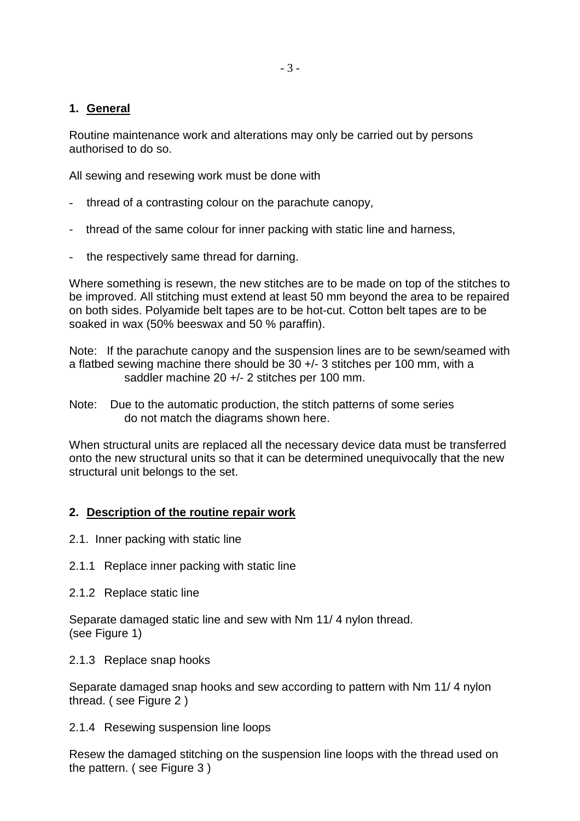### **1. General**

Routine maintenance work and alterations may only be carried out by persons authorised to do so.

All sewing and resewing work must be done with

- thread of a contrasting colour on the parachute canopy,
- thread of the same colour for inner packing with static line and harness,
- the respectively same thread for darning.

Where something is resewn, the new stitches are to be made on top of the stitches to be improved. All stitching must extend at least 50 mm beyond the area to be repaired on both sides. Polyamide belt tapes are to be hot-cut. Cotton belt tapes are to be soaked in wax (50% beeswax and 50 % paraffin).

Note: If the parachute canopy and the suspension lines are to be sewn/seamed with a flatbed sewing machine there should be 30 +/- 3 stitches per 100 mm, with a saddler machine 20 +/- 2 stitches per 100 mm.

Note: Due to the automatic production, the stitch patterns of some series do not match the diagrams shown here.

When structural units are replaced all the necessary device data must be transferred onto the new structural units so that it can be determined unequivocally that the new structural unit belongs to the set.

# **2. Description of the routine repair work**

- 2.1. Inner packing with static line
- 2.1.1 Replace inner packing with static line
- 2.1.2 Replace static line

Separate damaged static line and sew with Nm 11/ 4 nylon thread. (see Figure 1)

2.1.3 Replace snap hooks

Separate damaged snap hooks and sew according to pattern with Nm 11/ 4 nylon thread. ( see Figure 2 )

2.1.4 Resewing suspension line loops

Resew the damaged stitching on the suspension line loops with the thread used on the pattern. ( see Figure 3 )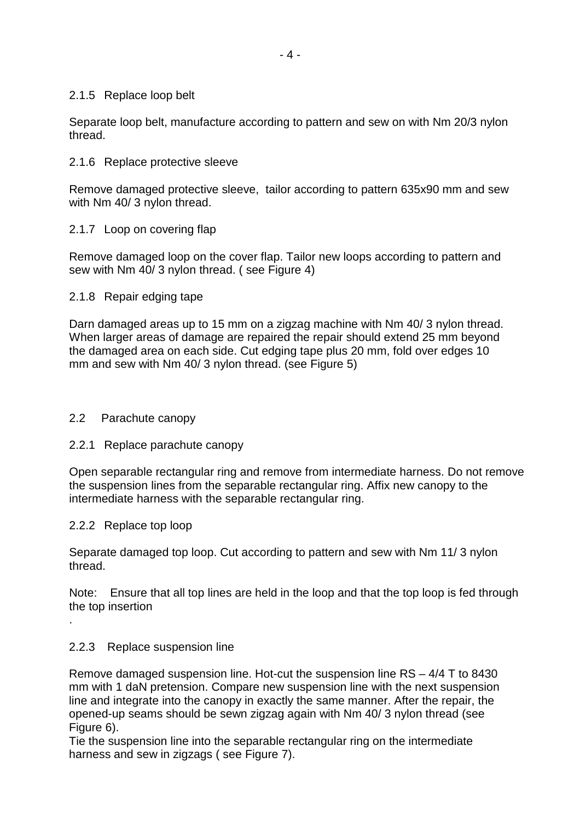#### 2.1.5 Replace loop belt

Separate loop belt, manufacture according to pattern and sew on with Nm 20/3 nylon thread.

#### 2.1.6 Replace protective sleeve

Remove damaged protective sleeve, tailor according to pattern 635x90 mm and sew with Nm 40/ 3 nylon thread.

#### 2.1.7 Loop on covering flap

Remove damaged loop on the cover flap. Tailor new loops according to pattern and sew with Nm 40/ 3 nylon thread. ( see Figure 4)

#### 2.1.8 Repair edging tape

Darn damaged areas up to 15 mm on a zigzag machine with Nm 40/ 3 nylon thread. When larger areas of damage are repaired the repair should extend 25 mm beyond the damaged area on each side. Cut edging tape plus 20 mm, fold over edges 10 mm and sew with Nm 40/ 3 nylon thread. (see Figure 5)

#### 2.2 Parachute canopy

#### 2.2.1 Replace parachute canopy

Open separable rectangular ring and remove from intermediate harness. Do not remove the suspension lines from the separable rectangular ring. Affix new canopy to the intermediate harness with the separable rectangular ring.

#### 2.2.2 Replace top loop

.

Separate damaged top loop. Cut according to pattern and sew with Nm 11/ 3 nylon thread.

Note: Ensure that all top lines are held in the loop and that the top loop is fed through the top insertion

#### 2.2.3 Replace suspension line

Remove damaged suspension line. Hot-cut the suspension line RS – 4/4 T to 8430 mm with 1 daN pretension. Compare new suspension line with the next suspension line and integrate into the canopy in exactly the same manner. After the repair, the opened-up seams should be sewn zigzag again with Nm 40/ 3 nylon thread (see Figure 6).

Tie the suspension line into the separable rectangular ring on the intermediate harness and sew in zigzags (see Figure 7).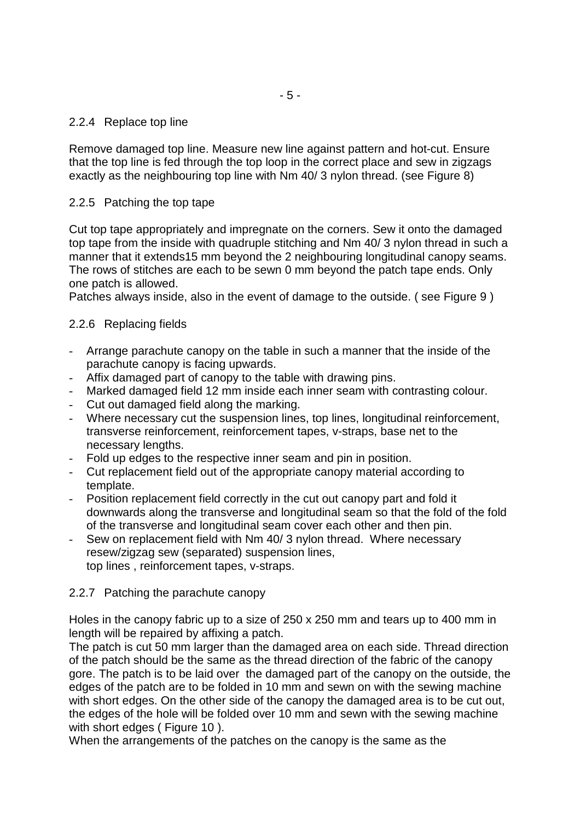#### 2.2.4 Replace top line

Remove damaged top line. Measure new line against pattern and hot-cut. Ensure that the top line is fed through the top loop in the correct place and sew in zigzags exactly as the neighbouring top line with Nm 40/ 3 nylon thread. (see Figure 8)

#### 2.2.5 Patching the top tape

Cut top tape appropriately and impregnate on the corners. Sew it onto the damaged top tape from the inside with quadruple stitching and Nm 40/ 3 nylon thread in such a manner that it extends15 mm beyond the 2 neighbouring longitudinal canopy seams. The rows of stitches are each to be sewn 0 mm beyond the patch tape ends. Only one patch is allowed.

Patches always inside, also in the event of damage to the outside. ( see Figure 9 )

#### 2.2.6 Replacing fields

- Arrange parachute canopy on the table in such a manner that the inside of the parachute canopy is facing upwards.
- Affix damaged part of canopy to the table with drawing pins.
- Marked damaged field 12 mm inside each inner seam with contrasting colour.
- Cut out damaged field along the marking.
- Where necessary cut the suspension lines, top lines, longitudinal reinforcement, transverse reinforcement, reinforcement tapes, v-straps, base net to the necessary lengths.
- Fold up edges to the respective inner seam and pin in position.
- Cut replacement field out of the appropriate canopy material according to template.
- Position replacement field correctly in the cut out canopy part and fold it downwards along the transverse and longitudinal seam so that the fold of the fold of the transverse and longitudinal seam cover each other and then pin.
- Sew on replacement field with Nm 40/ 3 nylon thread. Where necessary resew/zigzag sew (separated) suspension lines, top lines , reinforcement tapes, v-straps.

#### 2.2.7 Patching the parachute canopy

Holes in the canopy fabric up to a size of 250 x 250 mm and tears up to 400 mm in length will be repaired by affixing a patch.

The patch is cut 50 mm larger than the damaged area on each side. Thread direction of the patch should be the same as the thread direction of the fabric of the canopy gore. The patch is to be laid over the damaged part of the canopy on the outside, the edges of the patch are to be folded in 10 mm and sewn on with the sewing machine with short edges. On the other side of the canopy the damaged area is to be cut out, the edges of the hole will be folded over 10 mm and sewn with the sewing machine with short edges (Figure 10).

When the arrangements of the patches on the canopy is the same as the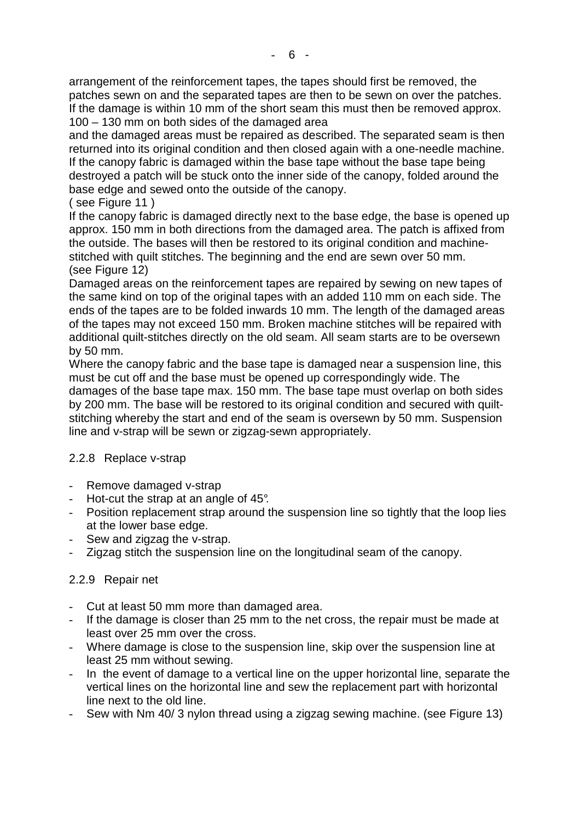arrangement of the reinforcement tapes, the tapes should first be removed, the patches sewn on and the separated tapes are then to be sewn on over the patches. If the damage is within 10 mm of the short seam this must then be removed approx. 100 – 130 mm on both sides of the damaged area

and the damaged areas must be repaired as described. The separated seam is then returned into its original condition and then closed again with a one-needle machine. If the canopy fabric is damaged within the base tape without the base tape being destroyed a patch will be stuck onto the inner side of the canopy, folded around the base edge and sewed onto the outside of the canopy.

# ( see Figure 11 )

If the canopy fabric is damaged directly next to the base edge, the base is opened up approx. 150 mm in both directions from the damaged area. The patch is affixed from the outside. The bases will then be restored to its original condition and machinestitched with quilt stitches. The beginning and the end are sewn over 50 mm. (see Figure 12)

Damaged areas on the reinforcement tapes are repaired by sewing on new tapes of the same kind on top of the original tapes with an added 110 mm on each side. The ends of the tapes are to be folded inwards 10 mm. The length of the damaged areas of the tapes may not exceed 150 mm. Broken machine stitches will be repaired with additional quilt-stitches directly on the old seam. All seam starts are to be oversewn by 50 mm.

Where the canopy fabric and the base tape is damaged near a suspension line, this must be cut off and the base must be opened up correspondingly wide. The damages of the base tape max. 150 mm. The base tape must overlap on both sides

by 200 mm. The base will be restored to its original condition and secured with quiltstitching whereby the start and end of the seam is oversewn by 50 mm. Suspension line and v-strap will be sewn or zigzag-sewn appropriately.

# 2.2.8 Replace v-strap

- Remove damaged v-strap
- Hot-cut the strap at an angle of 45°.
- Position replacement strap around the suspension line so tightly that the loop lies at the lower base edge.
- Sew and zigzag the v-strap.
- Zigzag stitch the suspension line on the longitudinal seam of the canopy.

# 2.2.9 Repair net

- Cut at least 50 mm more than damaged area.
- If the damage is closer than 25 mm to the net cross, the repair must be made at least over 25 mm over the cross.
- Where damage is close to the suspension line, skip over the suspension line at least 25 mm without sewing.
- In the event of damage to a vertical line on the upper horizontal line, separate the vertical lines on the horizontal line and sew the replacement part with horizontal line next to the old line.
- Sew with Nm 40/ 3 nylon thread using a zigzag sewing machine. (see Figure 13)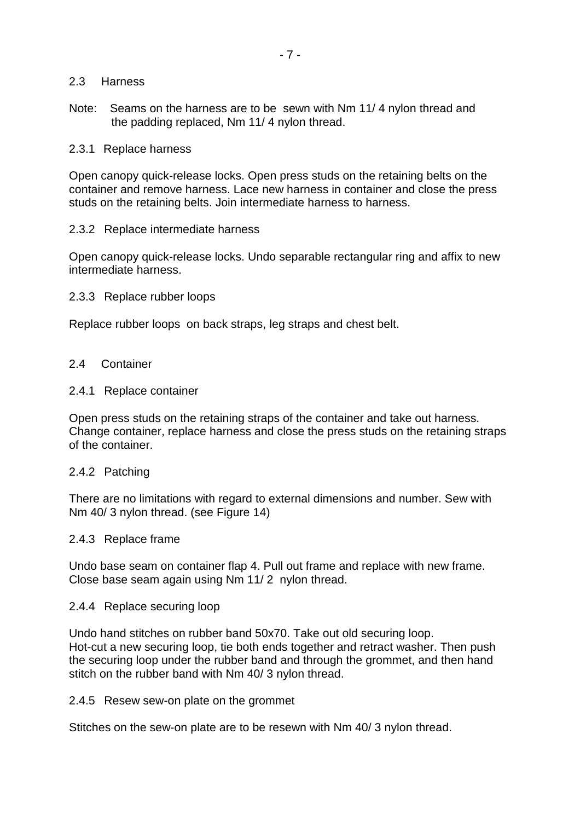#### 2.3 Harness

Note: Seams on the harness are to be sewn with Nm 11/ 4 nylon thread and the padding replaced, Nm 11/ 4 nylon thread.

#### 2.3.1 Replace harness

Open canopy quick-release locks. Open press studs on the retaining belts on the container and remove harness. Lace new harness in container and close the press studs on the retaining belts. Join intermediate harness to harness.

#### 2.3.2 Replace intermediate harness

Open canopy quick-release locks. Undo separable rectangular ring and affix to new intermediate harness.

#### 2.3.3 Replace rubber loops

Replace rubber loops on back straps, leg straps and chest belt.

#### 2.4 Container

#### 2.4.1 Replace container

Open press studs on the retaining straps of the container and take out harness. Change container, replace harness and close the press studs on the retaining straps of the container.

#### 2.4.2 Patching

There are no limitations with regard to external dimensions and number. Sew with Nm 40/ 3 nylon thread. (see Figure 14)

#### 2.4.3 Replace frame

Undo base seam on container flap 4. Pull out frame and replace with new frame. Close base seam again using Nm 11/ 2 nylon thread.

#### 2.4.4 Replace securing loop

Undo hand stitches on rubber band 50x70. Take out old securing loop. Hot-cut a new securing loop, tie both ends together and retract washer. Then push the securing loop under the rubber band and through the grommet, and then hand stitch on the rubber band with Nm 40/ 3 nylon thread.

2.4.5 Resew sew-on plate on the grommet

Stitches on the sew-on plate are to be resewn with Nm 40/ 3 nylon thread.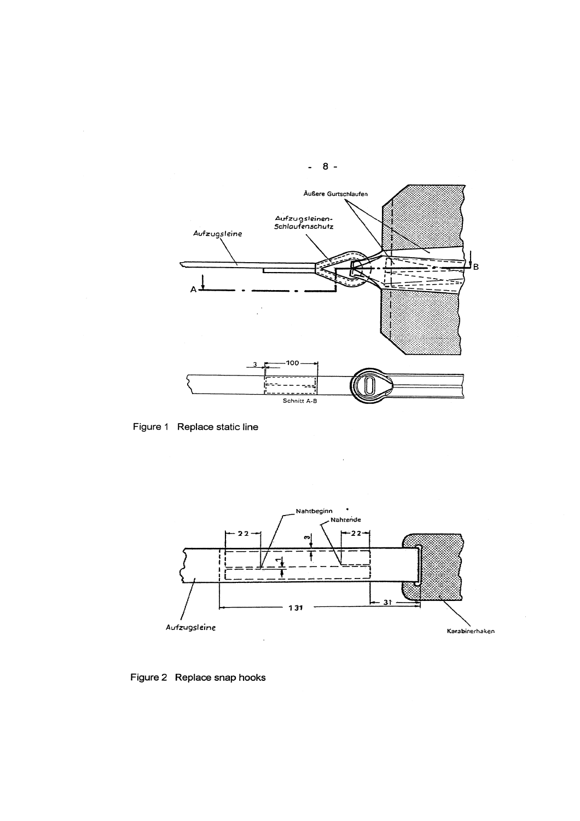

Figure 1 Replace static line



 $\hat{\mathcal{L}}$ 

Figure 2 Replace snap hooks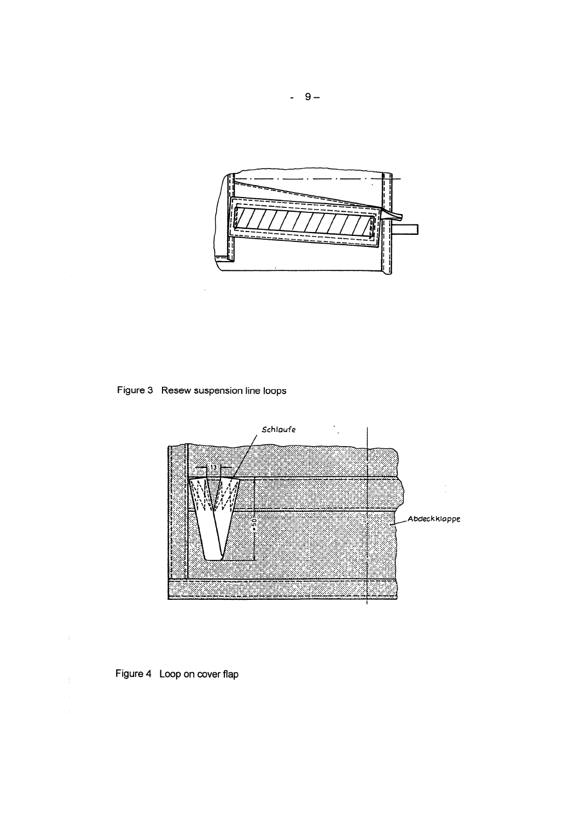

Figure 3 Resew suspension line loops

 $\cdot$ 



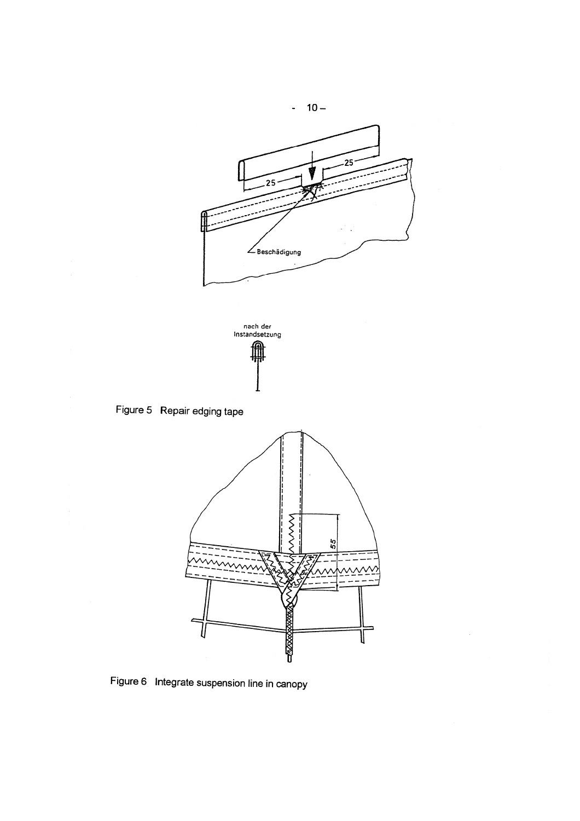



Figure 5 Repair edging tape



 $\hat{\mathcal{A}}$ 

Figure 6 Integrate suspension line in canopy

 $-10-$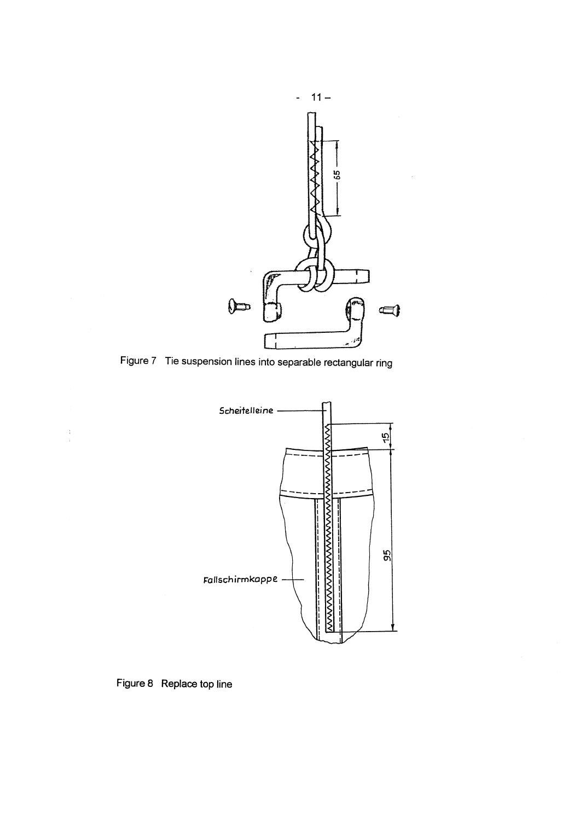

Figure 7 Tie suspension lines into separable rectangular ring



Figure 8 Replace top line

 $\begin{array}{c} \frac{1}{2} \\ 1 \end{array}$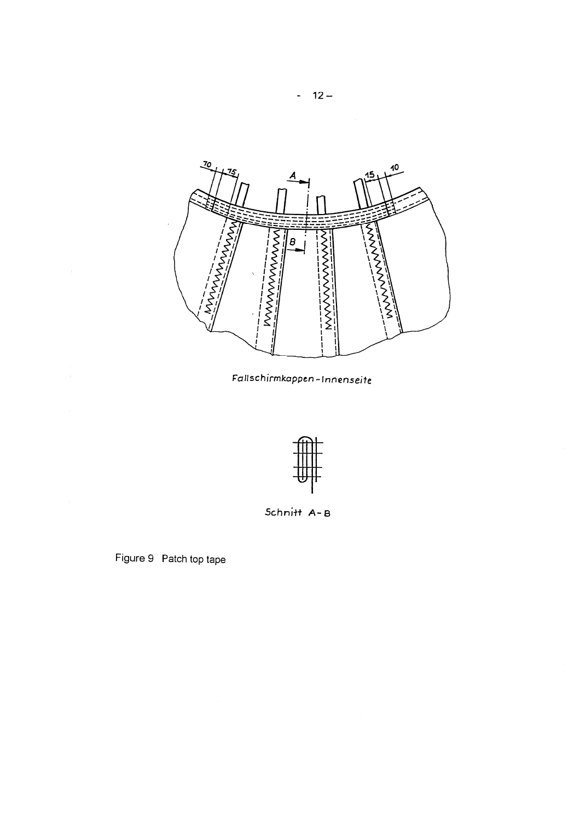

Fallschirmkappen-Innenseite



Schnitt A-B

Figure 9 Patch top tape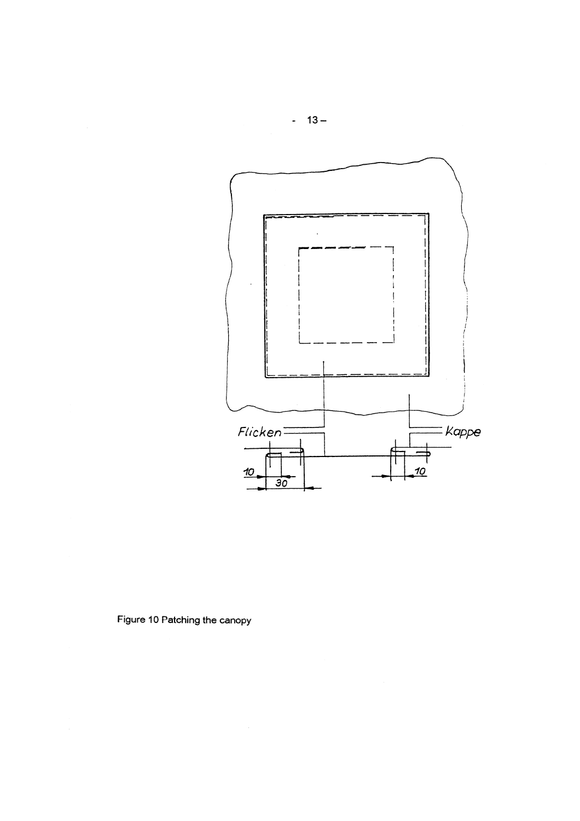

Figure 10 Patching the canopy

 $-13-$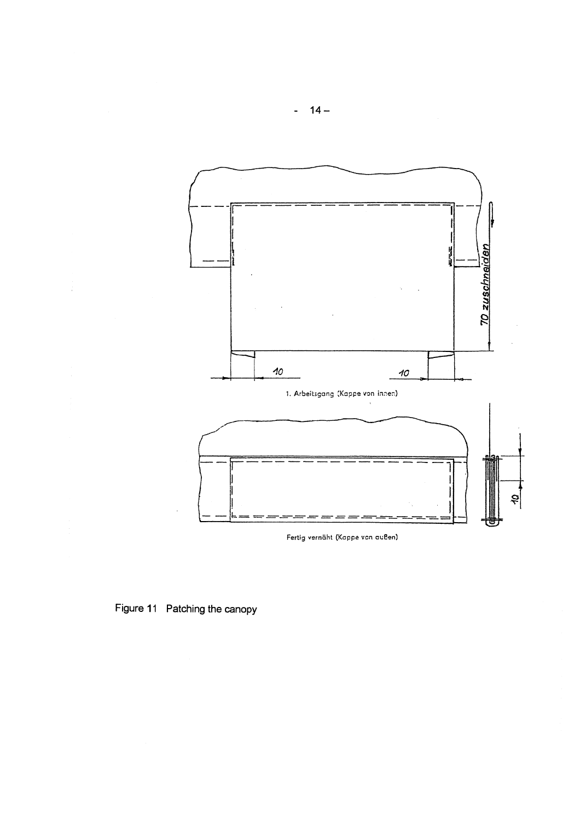

Fertig vernäht (Kappe von außen)

# Figure 11 Patching the canopy

÷.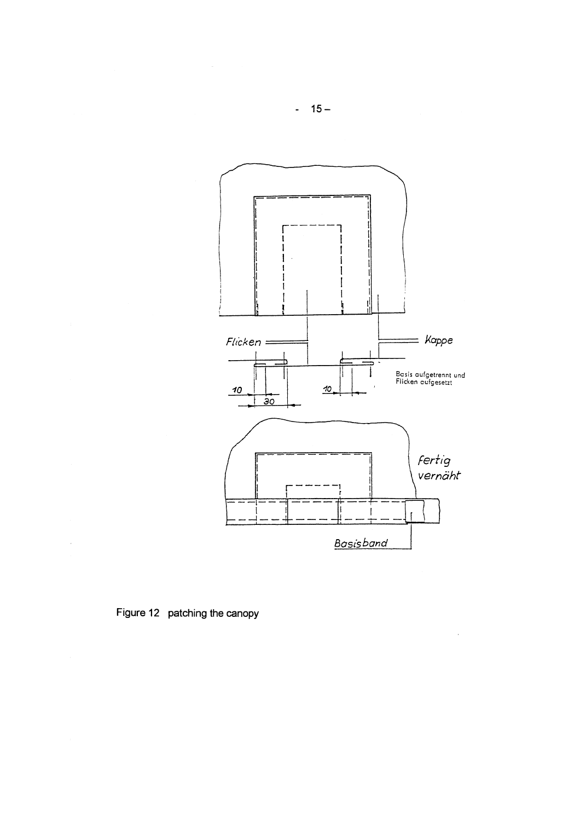![](_page_14_Figure_0.jpeg)

 $\bar{z}$ 

![](_page_14_Figure_1.jpeg)

 $\sim$